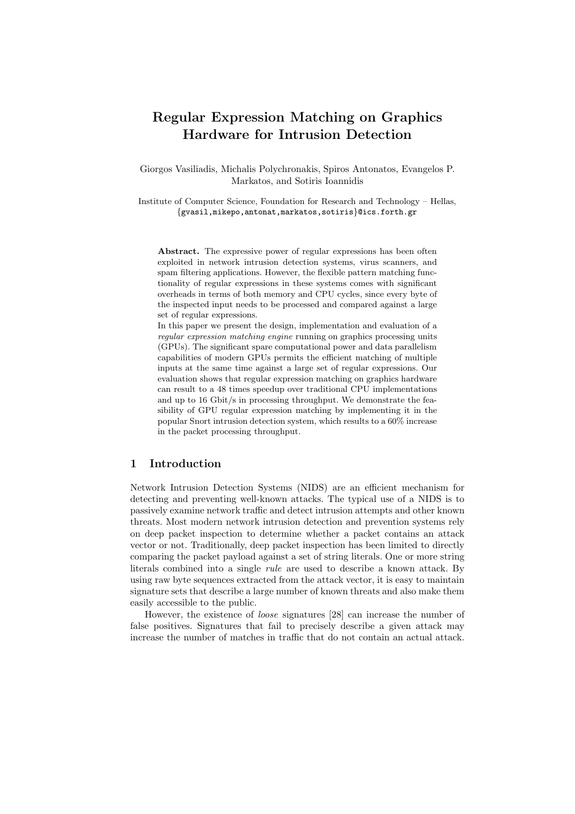# Regular Expression Matching on Graphics Hardware for Intrusion Detection

Giorgos Vasiliadis, Michalis Polychronakis, Spiros Antonatos, Evangelos P. Markatos, and Sotiris Ioannidis

Institute of Computer Science, Foundation for Research and Technology – Hellas, {gvasil,mikepo,antonat,markatos,sotiris}@ics.forth.gr

Abstract. The expressive power of regular expressions has been often exploited in network intrusion detection systems, virus scanners, and spam filtering applications. However, the flexible pattern matching functionality of regular expressions in these systems comes with significant overheads in terms of both memory and CPU cycles, since every byte of the inspected input needs to be processed and compared against a large set of regular expressions.

In this paper we present the design, implementation and evaluation of a regular expression matching engine running on graphics processing units (GPUs). The significant spare computational power and data parallelism capabilities of modern GPUs permits the efficient matching of multiple inputs at the same time against a large set of regular expressions. Our evaluation shows that regular expression matching on graphics hardware can result to a 48 times speedup over traditional CPU implementations and up to 16 Gbit/s in processing throughput. We demonstrate the feasibility of GPU regular expression matching by implementing it in the popular Snort intrusion detection system, which results to a 60% increase in the packet processing throughput.

# 1 Introduction

Network Intrusion Detection Systems (NIDS) are an efficient mechanism for detecting and preventing well-known attacks. The typical use of a NIDS is to passively examine network traffic and detect intrusion attempts and other known threats. Most modern network intrusion detection and prevention systems rely on deep packet inspection to determine whether a packet contains an attack vector or not. Traditionally, deep packet inspection has been limited to directly comparing the packet payload against a set of string literals. One or more string literals combined into a single rule are used to describe a known attack. By using raw byte sequences extracted from the attack vector, it is easy to maintain signature sets that describe a large number of known threats and also make them easily accessible to the public.

However, the existence of loose signatures [28] can increase the number of false positives. Signatures that fail to precisely describe a given attack may increase the number of matches in traffic that do not contain an actual attack.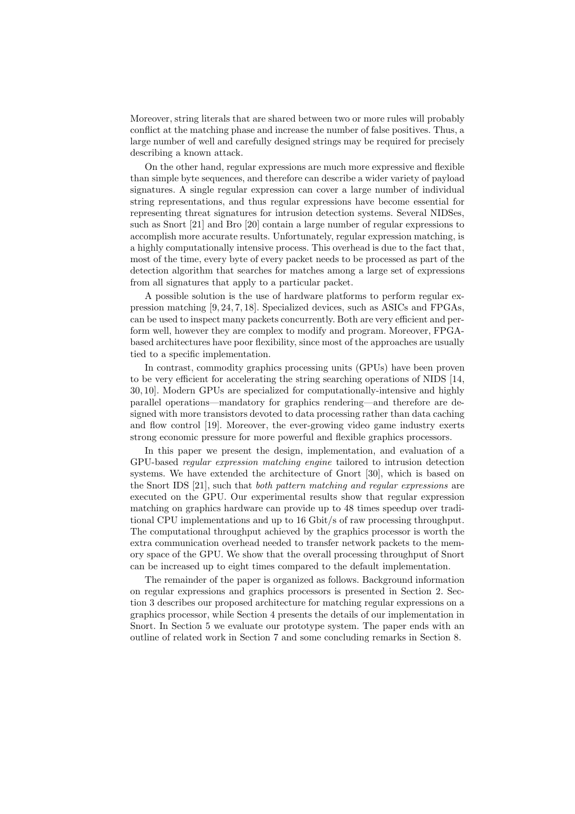Moreover, string literals that are shared between two or more rules will probably conflict at the matching phase and increase the number of false positives. Thus, a large number of well and carefully designed strings may be required for precisely describing a known attack.

On the other hand, regular expressions are much more expressive and flexible than simple byte sequences, and therefore can describe a wider variety of payload signatures. A single regular expression can cover a large number of individual string representations, and thus regular expressions have become essential for representing threat signatures for intrusion detection systems. Several NIDSes, such as Snort [21] and Bro [20] contain a large number of regular expressions to accomplish more accurate results. Unfortunately, regular expression matching, is a highly computationally intensive process. This overhead is due to the fact that, most of the time, every byte of every packet needs to be processed as part of the detection algorithm that searches for matches among a large set of expressions from all signatures that apply to a particular packet.

A possible solution is the use of hardware platforms to perform regular expression matching [9, 24, 7, 18]. Specialized devices, such as ASICs and FPGAs, can be used to inspect many packets concurrently. Both are very efficient and perform well, however they are complex to modify and program. Moreover, FPGAbased architectures have poor flexibility, since most of the approaches are usually tied to a specific implementation.

In contrast, commodity graphics processing units (GPUs) have been proven to be very efficient for accelerating the string searching operations of NIDS [14, 30, 10]. Modern GPUs are specialized for computationally-intensive and highly parallel operations—mandatory for graphics rendering—and therefore are designed with more transistors devoted to data processing rather than data caching and flow control [19]. Moreover, the ever-growing video game industry exerts strong economic pressure for more powerful and flexible graphics processors.

In this paper we present the design, implementation, and evaluation of a GPU-based regular expression matching engine tailored to intrusion detection systems. We have extended the architecture of Gnort [30], which is based on the Snort IDS [21], such that both pattern matching and regular expressions are executed on the GPU. Our experimental results show that regular expression matching on graphics hardware can provide up to 48 times speedup over traditional CPU implementations and up to 16 Gbit/s of raw processing throughput. The computational throughput achieved by the graphics processor is worth the extra communication overhead needed to transfer network packets to the memory space of the GPU. We show that the overall processing throughput of Snort can be increased up to eight times compared to the default implementation.

The remainder of the paper is organized as follows. Background information on regular expressions and graphics processors is presented in Section 2. Section 3 describes our proposed architecture for matching regular expressions on a graphics processor, while Section 4 presents the details of our implementation in Snort. In Section 5 we evaluate our prototype system. The paper ends with an outline of related work in Section 7 and some concluding remarks in Section 8.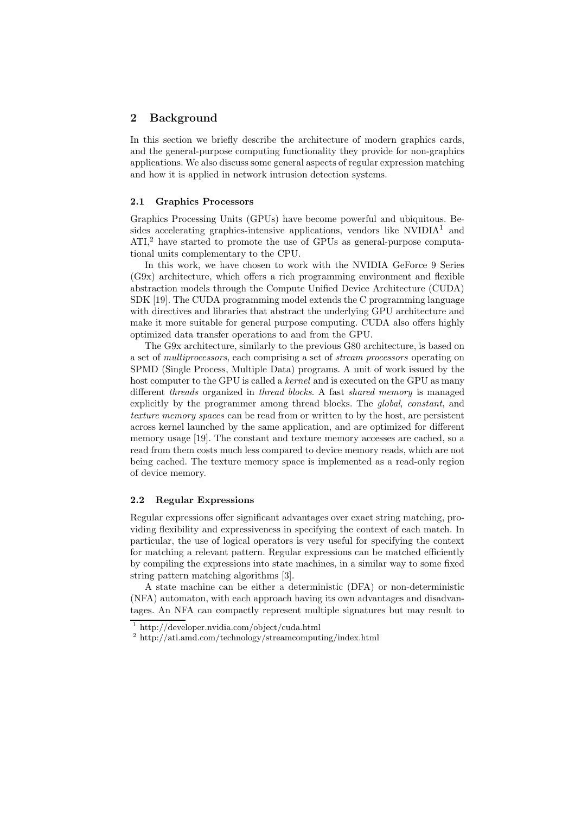# 2 Background

In this section we briefly describe the architecture of modern graphics cards, and the general-purpose computing functionality they provide for non-graphics applications. We also discuss some general aspects of regular expression matching and how it is applied in network intrusion detection systems.

## 2.1 Graphics Processors

Graphics Processing Units (GPUs) have become powerful and ubiquitous. Besides accelerating graphics-intensive applications, vendors like  $NVDIA<sup>1</sup>$  and ATI,<sup>2</sup> have started to promote the use of GPUs as general-purpose computational units complementary to the CPU.

In this work, we have chosen to work with the NVIDIA GeForce 9 Series (G9x) architecture, which offers a rich programming environment and flexible abstraction models through the Compute Unified Device Architecture (CUDA) SDK [19]. The CUDA programming model extends the C programming language with directives and libraries that abstract the underlying GPU architecture and make it more suitable for general purpose computing. CUDA also offers highly optimized data transfer operations to and from the GPU.

The G9x architecture, similarly to the previous G80 architecture, is based on a set of multiprocessors, each comprising a set of stream processors operating on SPMD (Single Process, Multiple Data) programs. A unit of work issued by the host computer to the GPU is called a *kernel* and is executed on the GPU as many different threads organized in thread blocks. A fast shared memory is managed explicitly by the programmer among thread blocks. The *global*, constant, and texture memory spaces can be read from or written to by the host, are persistent across kernel launched by the same application, and are optimized for different memory usage [19]. The constant and texture memory accesses are cached, so a read from them costs much less compared to device memory reads, which are not being cached. The texture memory space is implemented as a read-only region of device memory.

#### 2.2 Regular Expressions

Regular expressions offer significant advantages over exact string matching, providing flexibility and expressiveness in specifying the context of each match. In particular, the use of logical operators is very useful for specifying the context for matching a relevant pattern. Regular expressions can be matched efficiently by compiling the expressions into state machines, in a similar way to some fixed string pattern matching algorithms [3].

A state machine can be either a deterministic (DFA) or non-deterministic (NFA) automaton, with each approach having its own advantages and disadvantages. An NFA can compactly represent multiple signatures but may result to

<sup>1</sup> http://developer.nvidia.com/object/cuda.html

<sup>2</sup> http://ati.amd.com/technology/streamcomputing/index.html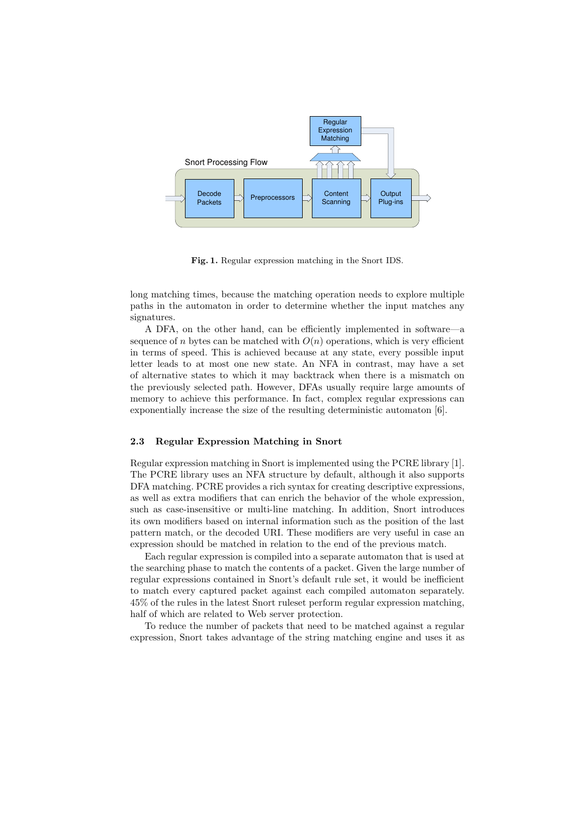

Fig. 1. Regular expression matching in the Snort IDS.

long matching times, because the matching operation needs to explore multiple paths in the automaton in order to determine whether the input matches any signatures.

A DFA, on the other hand, can be efficiently implemented in software—a sequence of n bytes can be matched with  $O(n)$  operations, which is very efficient in terms of speed. This is achieved because at any state, every possible input letter leads to at most one new state. An NFA in contrast, may have a set of alternative states to which it may backtrack when there is a mismatch on the previously selected path. However, DFAs usually require large amounts of memory to achieve this performance. In fact, complex regular expressions can exponentially increase the size of the resulting deterministic automaton [6].

#### 2.3 Regular Expression Matching in Snort

Regular expression matching in Snort is implemented using the PCRE library [1]. The PCRE library uses an NFA structure by default, although it also supports DFA matching. PCRE provides a rich syntax for creating descriptive expressions, as well as extra modifiers that can enrich the behavior of the whole expression, such as case-insensitive or multi-line matching. In addition, Snort introduces its own modifiers based on internal information such as the position of the last pattern match, or the decoded URI. These modifiers are very useful in case an expression should be matched in relation to the end of the previous match.

Each regular expression is compiled into a separate automaton that is used at the searching phase to match the contents of a packet. Given the large number of regular expressions contained in Snort's default rule set, it would be inefficient to match every captured packet against each compiled automaton separately. 45% of the rules in the latest Snort ruleset perform regular expression matching, half of which are related to Web server protection.

To reduce the number of packets that need to be matched against a regular expression, Snort takes advantage of the string matching engine and uses it as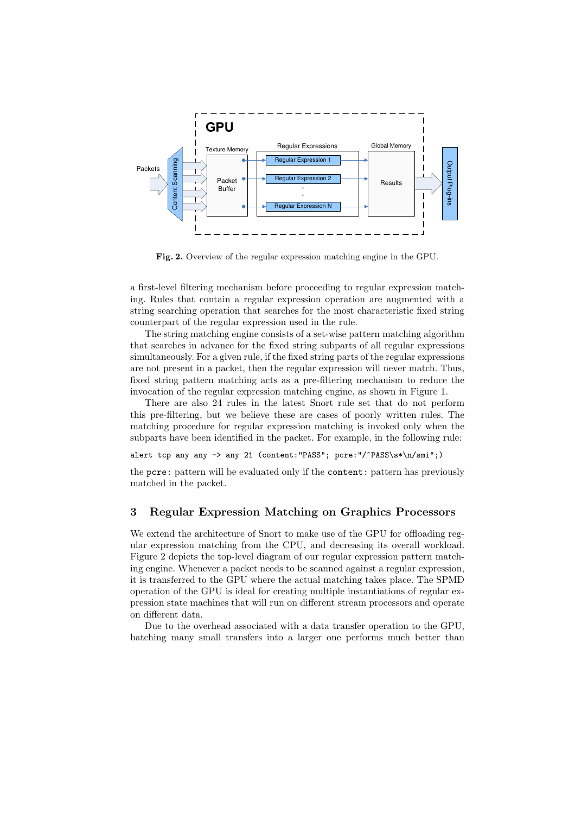

Fig. 2. Overview of the regular expression matching engine in the GPU.

a first-level filtering mechanism before proceeding to regular expression matching. Rules that contain a regular expression operation are augmented with a string searching operation that searches for the most characteristic fixed string counterpart of the regular expression used in the rule.

The string matching engine consists of a set-wise pattern matching algorithm that searches in advance for the fixed string subparts of all regular expressions simultaneously. For a given rule, if the fixed string parts of the regular expressions are not present in a packet, then the regular expression will never match. Thus, fixed string pattern matching acts as a pre-filtering mechanism to reduce the invocation of the regular expression matching engine, as shown in Figure 1.

There are also 24 rules in the latest Snort rule set that do not perform this pre-filtering, but we believe these are cases of poorly written rules. The matching procedure for regular expression matching is invoked only when the subparts have been identified in the packet. For example, in the following rule:

alert tcp any any -> any 21 (content: "PASS"; pcre: "/^PASS\s\*\n/smi";)

the pcre: pattern will be evaluated only if the content: pattern has previously matched in the packet.

### 3 Regular Expression Matching on Graphics Processors

We extend the architecture of Snort to make use of the GPU for offloading regular expression matching from the CPU, and decreasing its overall workload. Figure 2 depicts the top-level diagram of our regular expression pattern matching engine. Whenever a packet needs to be scanned against a regular expression, it is transferred to the GPU where the actual matching takes place. The SPMD operation of the GPU is ideal for creating multiple instantiations of regular expression state machines that will run on different stream processors and operate on different data.

Due to the overhead associated with a data transfer operation to the GPU, batching many small transfers into a larger one performs much better than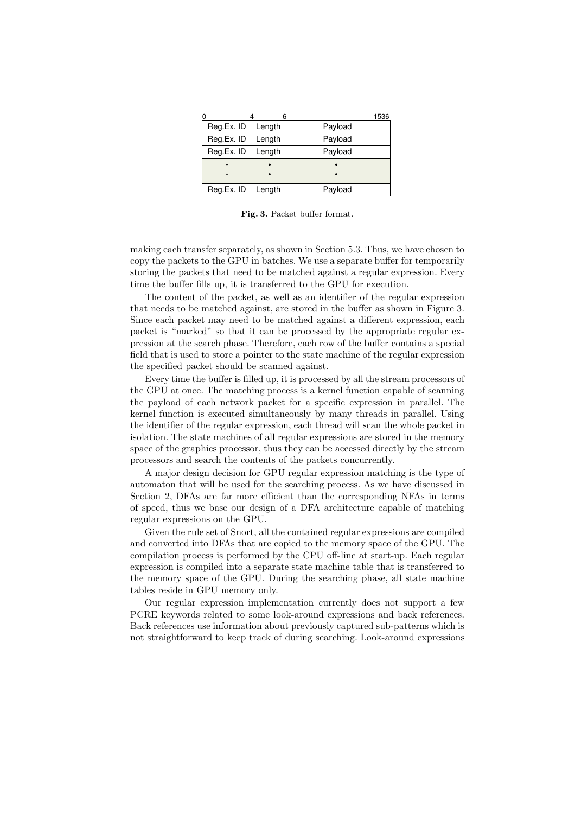| 1536       |        |         |
|------------|--------|---------|
| Reg.Ex. ID | Length | Payload |
| Reg.Ex. ID | Length | Payload |
| Reg.Ex. ID | Length | Payload |
| ٠          |        |         |
| ٠          |        |         |
| Reg.Ex. ID | Length | Payload |

Fig. 3. Packet buffer format.

making each transfer separately, as shown in Section 5.3. Thus, we have chosen to copy the packets to the GPU in batches. We use a separate buffer for temporarily storing the packets that need to be matched against a regular expression. Every time the buffer fills up, it is transferred to the GPU for execution.

The content of the packet, as well as an identifier of the regular expression that needs to be matched against, are stored in the buffer as shown in Figure 3. Since each packet may need to be matched against a different expression, each packet is "marked" so that it can be processed by the appropriate regular expression at the search phase. Therefore, each row of the buffer contains a special field that is used to store a pointer to the state machine of the regular expression the specified packet should be scanned against.

Every time the buffer is filled up, it is processed by all the stream processors of the GPU at once. The matching process is a kernel function capable of scanning the payload of each network packet for a specific expression in parallel. The kernel function is executed simultaneously by many threads in parallel. Using the identifier of the regular expression, each thread will scan the whole packet in isolation. The state machines of all regular expressions are stored in the memory space of the graphics processor, thus they can be accessed directly by the stream processors and search the contents of the packets concurrently.

A major design decision for GPU regular expression matching is the type of automaton that will be used for the searching process. As we have discussed in Section 2, DFAs are far more efficient than the corresponding NFAs in terms of speed, thus we base our design of a DFA architecture capable of matching regular expressions on the GPU.

Given the rule set of Snort, all the contained regular expressions are compiled and converted into DFAs that are copied to the memory space of the GPU. The compilation process is performed by the CPU off-line at start-up. Each regular expression is compiled into a separate state machine table that is transferred to the memory space of the GPU. During the searching phase, all state machine tables reside in GPU memory only.

Our regular expression implementation currently does not support a few PCRE keywords related to some look-around expressions and back references. Back references use information about previously captured sub-patterns which is not straightforward to keep track of during searching. Look-around expressions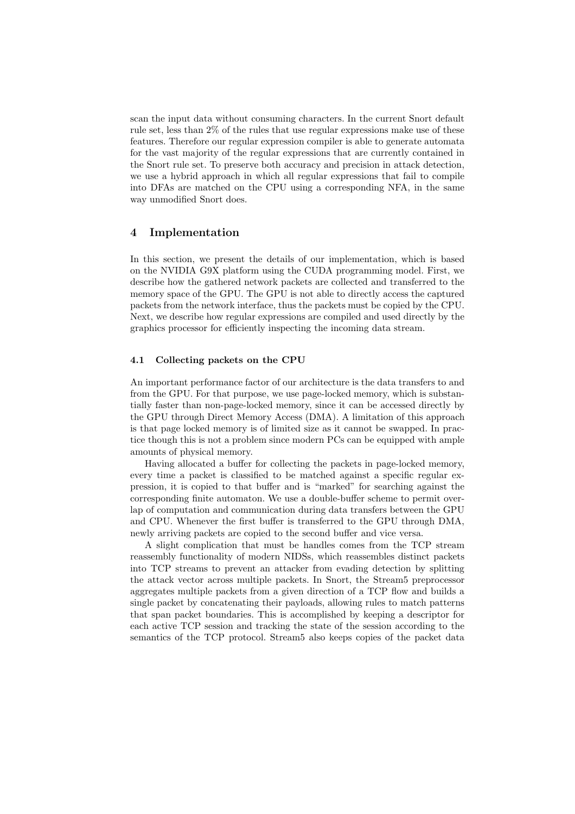scan the input data without consuming characters. In the current Snort default rule set, less than 2% of the rules that use regular expressions make use of these features. Therefore our regular expression compiler is able to generate automata for the vast majority of the regular expressions that are currently contained in the Snort rule set. To preserve both accuracy and precision in attack detection, we use a hybrid approach in which all regular expressions that fail to compile into DFAs are matched on the CPU using a corresponding NFA, in the same way unmodified Snort does.

## 4 Implementation

In this section, we present the details of our implementation, which is based on the NVIDIA G9X platform using the CUDA programming model. First, we describe how the gathered network packets are collected and transferred to the memory space of the GPU. The GPU is not able to directly access the captured packets from the network interface, thus the packets must be copied by the CPU. Next, we describe how regular expressions are compiled and used directly by the graphics processor for efficiently inspecting the incoming data stream.

#### 4.1 Collecting packets on the CPU

An important performance factor of our architecture is the data transfers to and from the GPU. For that purpose, we use page-locked memory, which is substantially faster than non-page-locked memory, since it can be accessed directly by the GPU through Direct Memory Access (DMA). A limitation of this approach is that page locked memory is of limited size as it cannot be swapped. In practice though this is not a problem since modern PCs can be equipped with ample amounts of physical memory.

Having allocated a buffer for collecting the packets in page-locked memory, every time a packet is classified to be matched against a specific regular expression, it is copied to that buffer and is "marked" for searching against the corresponding finite automaton. We use a double-buffer scheme to permit overlap of computation and communication during data transfers between the GPU and CPU. Whenever the first buffer is transferred to the GPU through DMA, newly arriving packets are copied to the second buffer and vice versa.

A slight complication that must be handles comes from the TCP stream reassembly functionality of modern NIDSs, which reassembles distinct packets into TCP streams to prevent an attacker from evading detection by splitting the attack vector across multiple packets. In Snort, the Stream5 preprocessor aggregates multiple packets from a given direction of a TCP flow and builds a single packet by concatenating their payloads, allowing rules to match patterns that span packet boundaries. This is accomplished by keeping a descriptor for each active TCP session and tracking the state of the session according to the semantics of the TCP protocol. Stream5 also keeps copies of the packet data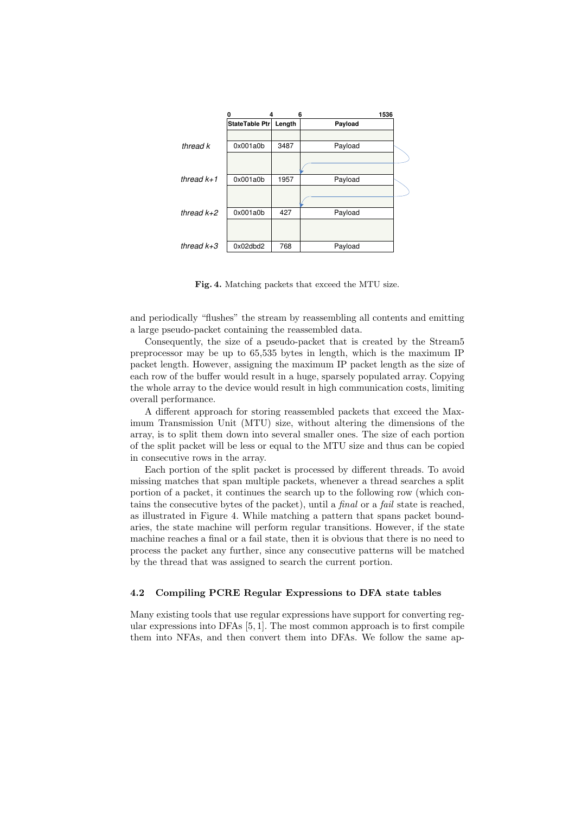

Fig. 4. Matching packets that exceed the MTU size.

and periodically "flushes" the stream by reassembling all contents and emitting a large pseudo-packet containing the reassembled data.

Consequently, the size of a pseudo-packet that is created by the Stream5 preprocessor may be up to 65,535 bytes in length, which is the maximum IP packet length. However, assigning the maximum IP packet length as the size of each row of the buffer would result in a huge, sparsely populated array. Copying the whole array to the device would result in high communication costs, limiting overall performance.

A different approach for storing reassembled packets that exceed the Maximum Transmission Unit (MTU) size, without altering the dimensions of the array, is to split them down into several smaller ones. The size of each portion of the split packet will be less or equal to the MTU size and thus can be copied in consecutive rows in the array.

Each portion of the split packet is processed by different threads. To avoid missing matches that span multiple packets, whenever a thread searches a split portion of a packet, it continues the search up to the following row (which contains the consecutive bytes of the packet), until a *final* or a *fail* state is reached, as illustrated in Figure 4. While matching a pattern that spans packet boundaries, the state machine will perform regular transitions. However, if the state machine reaches a final or a fail state, then it is obvious that there is no need to process the packet any further, since any consecutive patterns will be matched by the thread that was assigned to search the current portion.

### 4.2 Compiling PCRE Regular Expressions to DFA state tables

Many existing tools that use regular expressions have support for converting regular expressions into DFAs  $[5, 1]$ . The most common approach is to first compile them into NFAs, and then convert them into DFAs. We follow the same ap-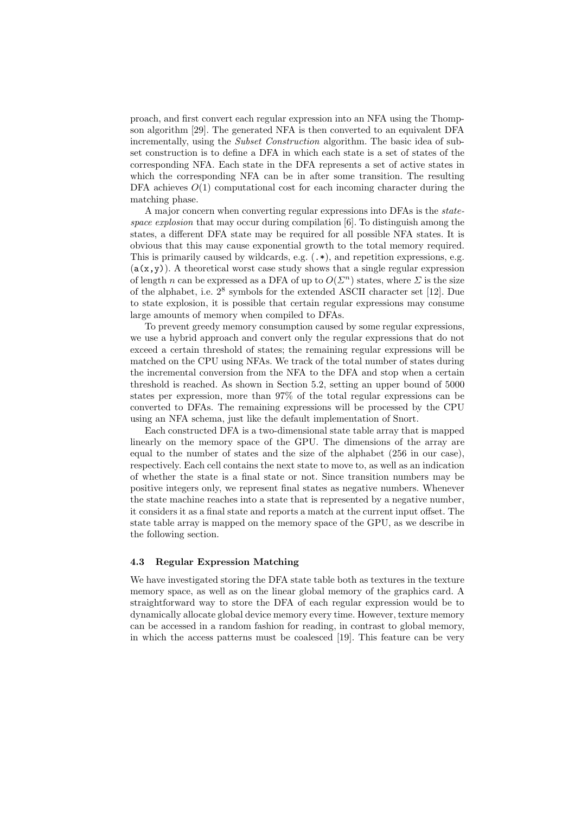proach, and first convert each regular expression into an NFA using the Thompson algorithm [29]. The generated NFA is then converted to an equivalent DFA incrementally, using the *Subset Construction* algorithm. The basic idea of subset construction is to define a DFA in which each state is a set of states of the corresponding NFA. Each state in the DFA represents a set of active states in which the corresponding NFA can be in after some transition. The resulting DFA achieves  $O(1)$  computational cost for each incoming character during the matching phase.

A major concern when converting regular expressions into DFAs is the statespace explosion that may occur during compilation [6]. To distinguish among the states, a different DFA state may be required for all possible NFA states. It is obvious that this may cause exponential growth to the total memory required. This is primarily caused by wildcards, e.g. (.\*), and repetition expressions, e.g.  $(a(x,y))$ . A theoretical worst case study shows that a single regular expression of length n can be expressed as a DFA of up to  $O(\Sigma^n)$  states, where  $\Sigma$  is the size of the alphabet, i.e.  $2^8$  symbols for the extended ASCII character set [12]. Due to state explosion, it is possible that certain regular expressions may consume large amounts of memory when compiled to DFAs.

To prevent greedy memory consumption caused by some regular expressions, we use a hybrid approach and convert only the regular expressions that do not exceed a certain threshold of states; the remaining regular expressions will be matched on the CPU using NFAs. We track of the total number of states during the incremental conversion from the NFA to the DFA and stop when a certain threshold is reached. As shown in Section 5.2, setting an upper bound of 5000 states per expression, more than 97% of the total regular expressions can be converted to DFAs. The remaining expressions will be processed by the CPU using an NFA schema, just like the default implementation of Snort.

Each constructed DFA is a two-dimensional state table array that is mapped linearly on the memory space of the GPU. The dimensions of the array are equal to the number of states and the size of the alphabet (256 in our case), respectively. Each cell contains the next state to move to, as well as an indication of whether the state is a final state or not. Since transition numbers may be positive integers only, we represent final states as negative numbers. Whenever the state machine reaches into a state that is represented by a negative number, it considers it as a final state and reports a match at the current input offset. The state table array is mapped on the memory space of the GPU, as we describe in the following section.

#### 4.3 Regular Expression Matching

We have investigated storing the DFA state table both as textures in the texture memory space, as well as on the linear global memory of the graphics card. A straightforward way to store the DFA of each regular expression would be to dynamically allocate global device memory every time. However, texture memory can be accessed in a random fashion for reading, in contrast to global memory, in which the access patterns must be coalesced [19]. This feature can be very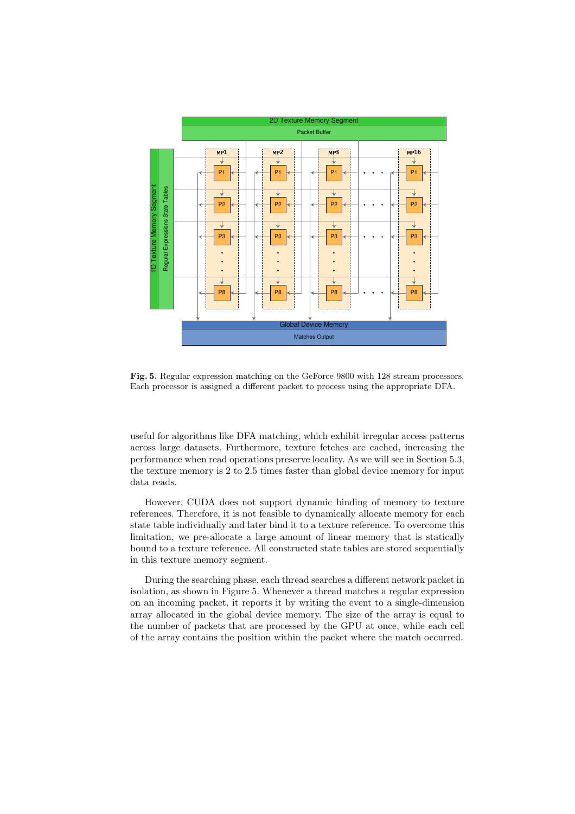

Fig. 5. Regular expression matching on the GeForce 9800 with 128 stream processors. Each processor is assigned a different packet to process using the appropriate DFA.

useful for algorithms like DFA matching, which exhibit irregular access patterns across large datasets. Furthermore, texture fetches are cached, increasing the performance when read operations preserve locality. As we will see in Section 5.3, the texture memory is 2 to 2.5 times faster than global device memory for input data reads.

However, CUDA does not support dynamic binding of memory to texture references. Therefore, it is not feasible to dynamically allocate memory for each state table individually and later bind it to a texture reference. To overcome this limitation, we pre-allocate a large amount of linear memory that is statically bound to a texture reference. All constructed state tables are stored sequentially in this texture memory segment.

During the searching phase, each thread searches a different network packet in isolation, as shown in Figure 5. Whenever a thread matches a regular expression on an incoming packet, it reports it by writing the event to a single-dimension array allocated in the global device memory. The size of the array is equal to the number of packets that are processed by the GPU at once, while each cell of the array contains the position within the packet where the match occurred.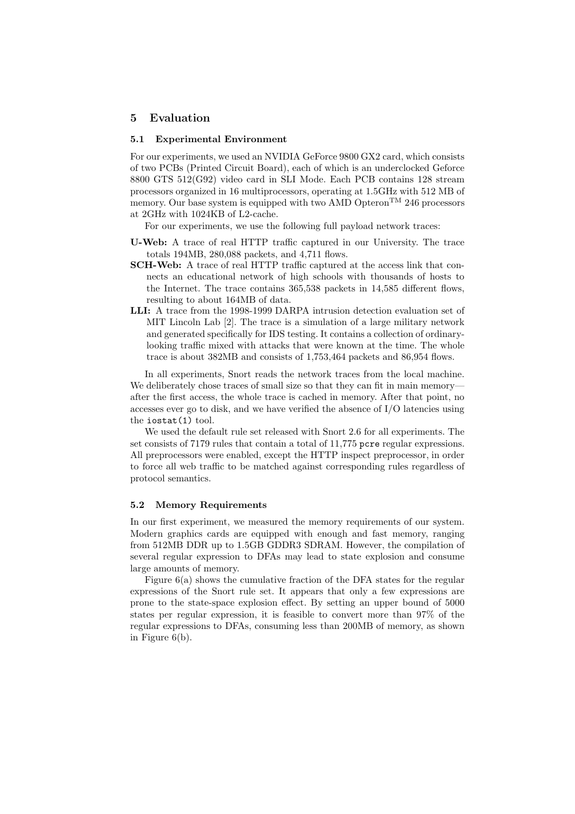# 5 Evaluation

#### 5.1 Experimental Environment

For our experiments, we used an NVIDIA GeForce 9800 GX2 card, which consists of two PCBs (Printed Circuit Board), each of which is an underclocked Geforce 8800 GTS 512(G92) video card in SLI Mode. Each PCB contains 128 stream processors organized in 16 multiprocessors, operating at 1.5GHz with 512 MB of memory. Our base system is equipped with two AMD Opteron<sup>TM</sup> 246 processors at 2GHz with 1024KB of L2-cache.

For our experiments, we use the following full payload network traces:

- U-Web: A trace of real HTTP traffic captured in our University. The trace totals 194MB, 280,088 packets, and 4,711 flows.
- SCH-Web: A trace of real HTTP traffic captured at the access link that connects an educational network of high schools with thousands of hosts to the Internet. The trace contains 365,538 packets in 14,585 different flows, resulting to about 164MB of data.
- LLI: A trace from the 1998-1999 DARPA intrusion detection evaluation set of MIT Lincoln Lab [2]. The trace is a simulation of a large military network and generated specifically for IDS testing. It contains a collection of ordinarylooking traffic mixed with attacks that were known at the time. The whole trace is about 382MB and consists of 1,753,464 packets and 86,954 flows.

In all experiments, Snort reads the network traces from the local machine. We deliberately chose traces of small size so that they can fit in main memoryafter the first access, the whole trace is cached in memory. After that point, no accesses ever go to disk, and we have verified the absence of  $I/O$  latencies using the iostat(1) tool.

We used the default rule set released with Snort 2.6 for all experiments. The set consists of 7179 rules that contain a total of 11,775 pcre regular expressions. All preprocessors were enabled, except the HTTP inspect preprocessor, in order to force all web traffic to be matched against corresponding rules regardless of protocol semantics.

#### 5.2 Memory Requirements

In our first experiment, we measured the memory requirements of our system. Modern graphics cards are equipped with enough and fast memory, ranging from 512MB DDR up to 1.5GB GDDR3 SDRAM. However, the compilation of several regular expression to DFAs may lead to state explosion and consume large amounts of memory.

Figure 6(a) shows the cumulative fraction of the DFA states for the regular expressions of the Snort rule set. It appears that only a few expressions are prone to the state-space explosion effect. By setting an upper bound of 5000 states per regular expression, it is feasible to convert more than 97% of the regular expressions to DFAs, consuming less than 200MB of memory, as shown in Figure 6(b).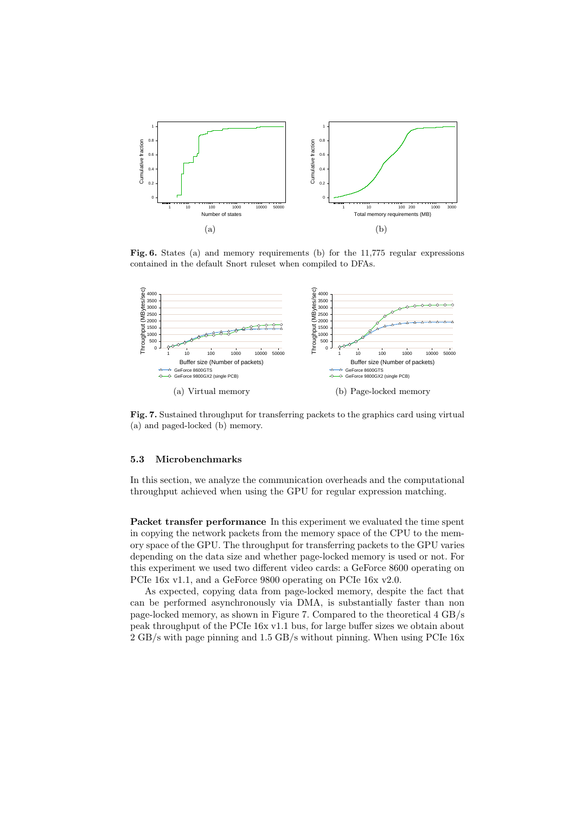

Fig. 6. States (a) and memory requirements (b) for the 11,775 regular expressions contained in the default Snort ruleset when compiled to DFAs.



Fig. 7. Sustained throughput for transferring packets to the graphics card using virtual (a) and paged-locked (b) memory.

### 5.3 Microbenchmarks

In this section, we analyze the communication overheads and the computational throughput achieved when using the GPU for regular expression matching.

Packet transfer performance In this experiment we evaluated the time spent in copying the network packets from the memory space of the CPU to the memory space of the GPU. The throughput for transferring packets to the GPU varies depending on the data size and whether page-locked memory is used or not. For this experiment we used two different video cards: a GeForce 8600 operating on PCIe 16x v1.1, and a GeForce 9800 operating on PCIe 16x v2.0.

As expected, copying data from page-locked memory, despite the fact that can be performed asynchronously via DMA, is substantially faster than non page-locked memory, as shown in Figure 7. Compared to the theoretical 4 GB/s peak throughput of the PCIe 16x v1.1 bus, for large buffer sizes we obtain about 2 GB/s with page pinning and 1.5 GB/s without pinning. When using PCIe 16x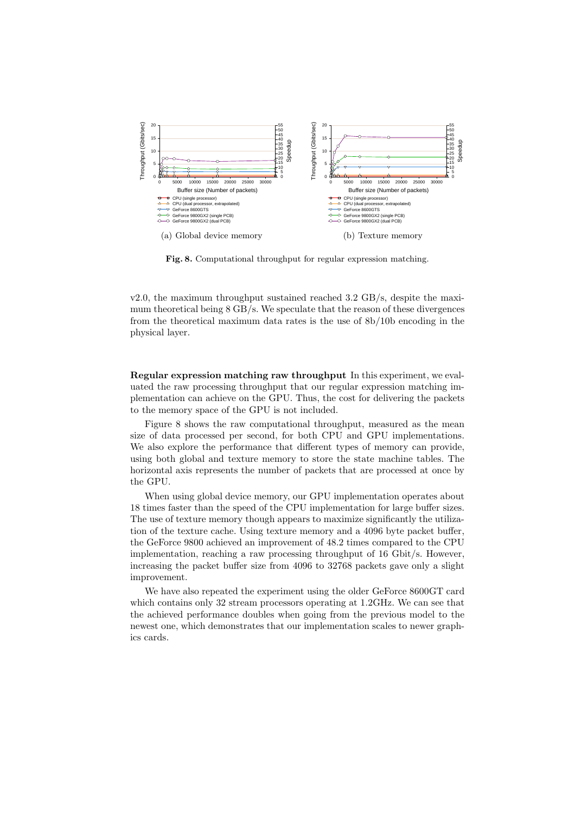

Fig. 8. Computational throughput for regular expression matching.

v2.0, the maximum throughput sustained reached 3.2 GB/s, despite the maximum theoretical being 8 GB/s. We speculate that the reason of these divergences from the theoretical maximum data rates is the use of 8b/10b encoding in the physical layer.

Regular expression matching raw throughput In this experiment, we evaluated the raw processing throughput that our regular expression matching implementation can achieve on the GPU. Thus, the cost for delivering the packets to the memory space of the GPU is not included.

Figure 8 shows the raw computational throughput, measured as the mean size of data processed per second, for both CPU and GPU implementations. We also explore the performance that different types of memory can provide, using both global and texture memory to store the state machine tables. The horizontal axis represents the number of packets that are processed at once by the GPU.

When using global device memory, our GPU implementation operates about 18 times faster than the speed of the CPU implementation for large buffer sizes. The use of texture memory though appears to maximize significantly the utilization of the texture cache. Using texture memory and a 4096 byte packet buffer, the GeForce 9800 achieved an improvement of 48.2 times compared to the CPU implementation, reaching a raw processing throughput of 16 Gbit/s. However, increasing the packet buffer size from 4096 to 32768 packets gave only a slight improvement.

We have also repeated the experiment using the older GeForce 8600GT card which contains only 32 stream processors operating at 1.2GHz. We can see that the achieved performance doubles when going from the previous model to the newest one, which demonstrates that our implementation scales to newer graphics cards.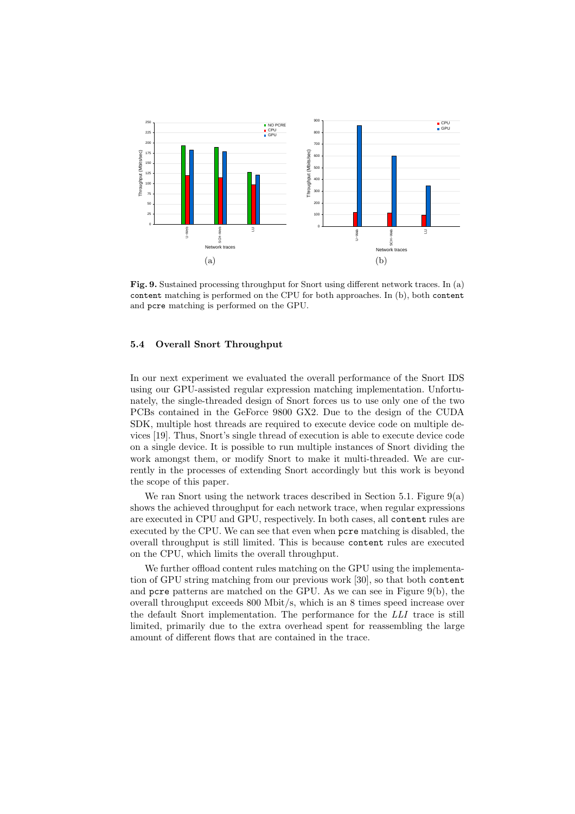

Fig. 9. Sustained processing throughput for Snort using different network traces. In (a) content matching is performed on the CPU for both approaches. In (b), both content and pcre matching is performed on the GPU.

# 5.4 Overall Snort Throughput

In our next experiment we evaluated the overall performance of the Snort IDS using our GPU-assisted regular expression matching implementation. Unfortunately, the single-threaded design of Snort forces us to use only one of the two PCBs contained in the GeForce 9800 GX2. Due to the design of the CUDA SDK, multiple host threads are required to execute device code on multiple devices [19]. Thus, Snort's single thread of execution is able to execute device code on a single device. It is possible to run multiple instances of Snort dividing the work amongst them, or modify Snort to make it multi-threaded. We are currently in the processes of extending Snort accordingly but this work is beyond the scope of this paper.

We ran Snort using the network traces described in Section 5.1. Figure  $9(a)$ shows the achieved throughput for each network trace, when regular expressions are executed in CPU and GPU, respectively. In both cases, all content rules are executed by the CPU. We can see that even when pcre matching is disabled, the overall throughput is still limited. This is because content rules are executed on the CPU, which limits the overall throughput.

We further offload content rules matching on the GPU using the implementation of GPU string matching from our previous work [30], so that both content and pcre patterns are matched on the GPU. As we can see in Figure 9(b), the overall throughput exceeds 800 Mbit/s, which is an 8 times speed increase over the default Snort implementation. The performance for the LLI trace is still limited, primarily due to the extra overhead spent for reassembling the large amount of different flows that are contained in the trace.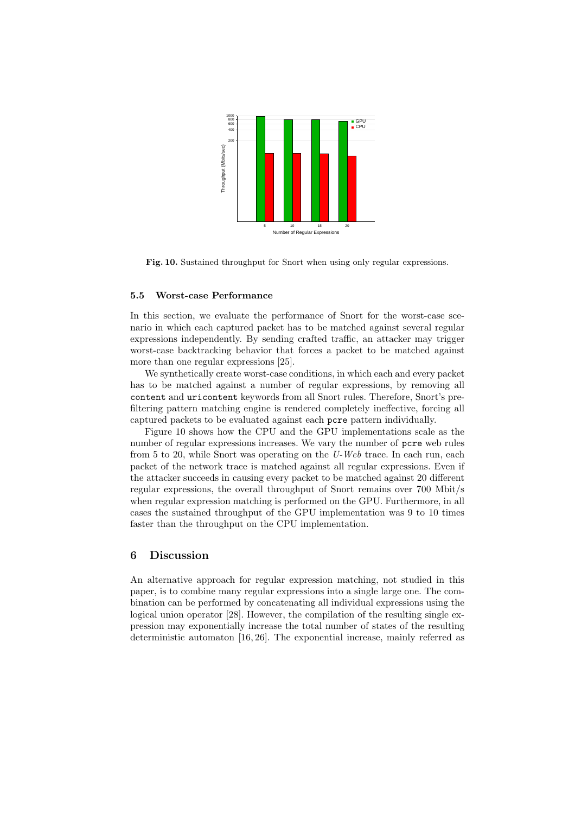

Fig. 10. Sustained throughput for Snort when using only regular expressions.

#### 5.5 Worst-case Performance

In this section, we evaluate the performance of Snort for the worst-case scenario in which each captured packet has to be matched against several regular expressions independently. By sending crafted traffic, an attacker may trigger worst-case backtracking behavior that forces a packet to be matched against more than one regular expressions [25].

We synthetically create worst-case conditions, in which each and every packet has to be matched against a number of regular expressions, by removing all content and uricontent keywords from all Snort rules. Therefore, Snort's prefiltering pattern matching engine is rendered completely ineffective, forcing all captured packets to be evaluated against each pcre pattern individually.

Figure 10 shows how the CPU and the GPU implementations scale as the number of regular expressions increases. We vary the number of pcre web rules from 5 to 20, while Snort was operating on the  $U$ -Web trace. In each run, each packet of the network trace is matched against all regular expressions. Even if the attacker succeeds in causing every packet to be matched against 20 different regular expressions, the overall throughput of Snort remains over 700 Mbit/s when regular expression matching is performed on the GPU. Furthermore, in all cases the sustained throughput of the GPU implementation was 9 to 10 times faster than the throughput on the CPU implementation.

## 6 Discussion

An alternative approach for regular expression matching, not studied in this paper, is to combine many regular expressions into a single large one. The combination can be performed by concatenating all individual expressions using the logical union operator [28]. However, the compilation of the resulting single expression may exponentially increase the total number of states of the resulting deterministic automaton [16, 26]. The exponential increase, mainly referred as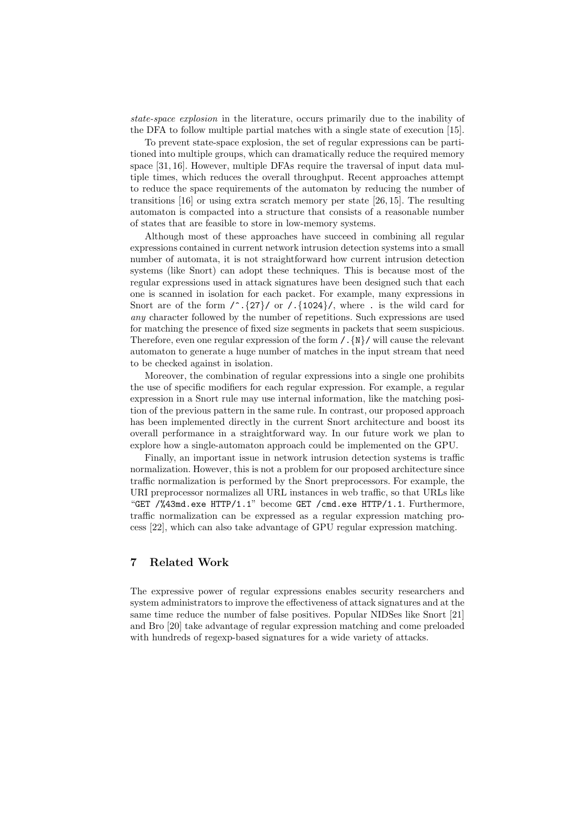state-space explosion in the literature, occurs primarily due to the inability of the DFA to follow multiple partial matches with a single state of execution [15].

To prevent state-space explosion, the set of regular expressions can be partitioned into multiple groups, which can dramatically reduce the required memory space [31, 16]. However, multiple DFAs require the traversal of input data multiple times, which reduces the overall throughput. Recent approaches attempt to reduce the space requirements of the automaton by reducing the number of transitions [16] or using extra scratch memory per state [26, 15]. The resulting automaton is compacted into a structure that consists of a reasonable number of states that are feasible to store in low-memory systems.

Although most of these approaches have succeed in combining all regular expressions contained in current network intrusion detection systems into a small number of automata, it is not straightforward how current intrusion detection systems (like Snort) can adopt these techniques. This is because most of the regular expressions used in attack signatures have been designed such that each one is scanned in isolation for each packet. For example, many expressions in Snort are of the form  $\binom{27}{1024}$ , where . is the wild card for any character followed by the number of repetitions. Such expressions are used for matching the presence of fixed size segments in packets that seem suspicious. Therefore, even one regular expression of the form  $/\int \left\{N\right\} /$  will cause the relevant automaton to generate a huge number of matches in the input stream that need to be checked against in isolation.

Moreover, the combination of regular expressions into a single one prohibits the use of specific modifiers for each regular expression. For example, a regular expression in a Snort rule may use internal information, like the matching position of the previous pattern in the same rule. In contrast, our proposed approach has been implemented directly in the current Snort architecture and boost its overall performance in a straightforward way. In our future work we plan to explore how a single-automaton approach could be implemented on the GPU.

Finally, an important issue in network intrusion detection systems is traffic normalization. However, this is not a problem for our proposed architecture since traffic normalization is performed by the Snort preprocessors. For example, the URI preprocessor normalizes all URL instances in web traffic, so that URLs like "GET /%43md.exe HTTP/1.1" become GET /cmd.exe HTTP/1.1. Furthermore, traffic normalization can be expressed as a regular expression matching process [22], which can also take advantage of GPU regular expression matching.

# 7 Related Work

The expressive power of regular expressions enables security researchers and system administrators to improve the effectiveness of attack signatures and at the same time reduce the number of false positives. Popular NIDSes like Snort [21] and Bro [20] take advantage of regular expression matching and come preloaded with hundreds of regexp-based signatures for a wide variety of attacks.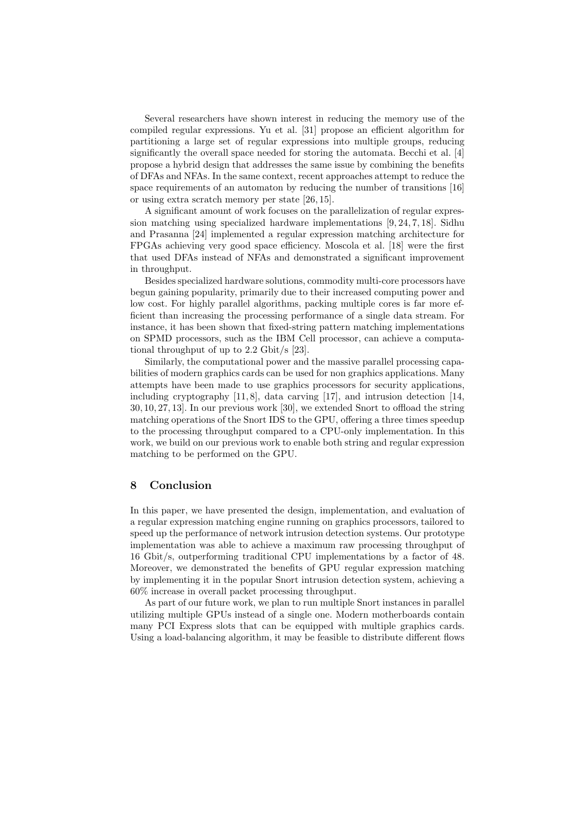Several researchers have shown interest in reducing the memory use of the compiled regular expressions. Yu et al. [31] propose an efficient algorithm for partitioning a large set of regular expressions into multiple groups, reducing significantly the overall space needed for storing the automata. Becchi et al. [4] propose a hybrid design that addresses the same issue by combining the benefits of DFAs and NFAs. In the same context, recent approaches attempt to reduce the space requirements of an automaton by reducing the number of transitions [16] or using extra scratch memory per state [26, 15].

A significant amount of work focuses on the parallelization of regular expression matching using specialized hardware implementations [9, 24, 7, 18]. Sidhu and Prasanna [24] implemented a regular expression matching architecture for FPGAs achieving very good space efficiency. Moscola et al. [18] were the first that used DFAs instead of NFAs and demonstrated a significant improvement in throughput.

Besides specialized hardware solutions, commodity multi-core processors have begun gaining popularity, primarily due to their increased computing power and low cost. For highly parallel algorithms, packing multiple cores is far more efficient than increasing the processing performance of a single data stream. For instance, it has been shown that fixed-string pattern matching implementations on SPMD processors, such as the IBM Cell processor, can achieve a computational throughput of up to 2.2 Gbit/s [23].

Similarly, the computational power and the massive parallel processing capabilities of modern graphics cards can be used for non graphics applications. Many attempts have been made to use graphics processors for security applications, including cryptography [11, 8], data carving [17], and intrusion detection [14, 30, 10, 27, 13]. In our previous work [30], we extended Snort to offload the string matching operations of the Snort IDS to the GPU, offering a three times speedup to the processing throughput compared to a CPU-only implementation. In this work, we build on our previous work to enable both string and regular expression matching to be performed on the GPU.

# 8 Conclusion

In this paper, we have presented the design, implementation, and evaluation of a regular expression matching engine running on graphics processors, tailored to speed up the performance of network intrusion detection systems. Our prototype implementation was able to achieve a maximum raw processing throughput of 16 Gbit/s, outperforming traditional CPU implementations by a factor of 48. Moreover, we demonstrated the benefits of GPU regular expression matching by implementing it in the popular Snort intrusion detection system, achieving a 60% increase in overall packet processing throughput.

As part of our future work, we plan to run multiple Snort instances in parallel utilizing multiple GPUs instead of a single one. Modern motherboards contain many PCI Express slots that can be equipped with multiple graphics cards. Using a load-balancing algorithm, it may be feasible to distribute different flows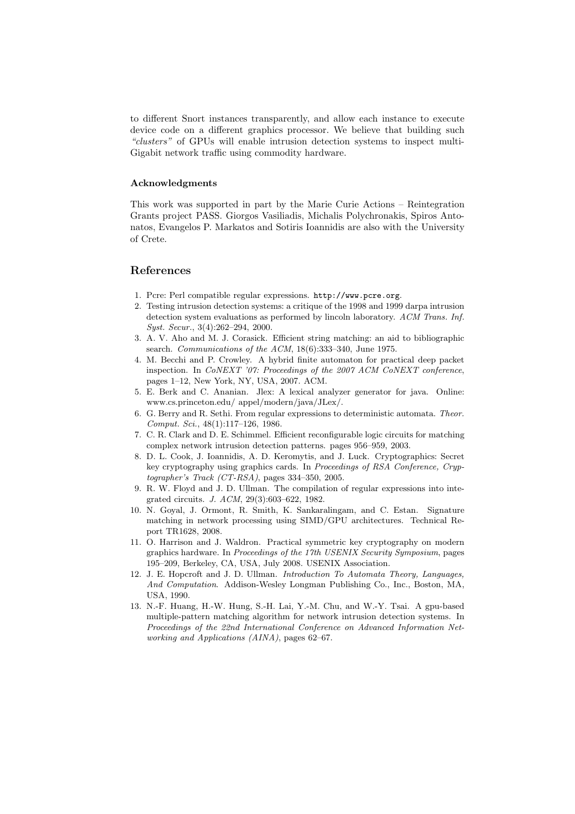to different Snort instances transparently, and allow each instance to execute device code on a different graphics processor. We believe that building such "clusters" of GPUs will enable intrusion detection systems to inspect multi-Gigabit network traffic using commodity hardware.

#### Acknowledgments

This work was supported in part by the Marie Curie Actions – Reintegration Grants project PASS. Giorgos Vasiliadis, Michalis Polychronakis, Spiros Antonatos, Evangelos P. Markatos and Sotiris Ioannidis are also with the University of Crete.

### References

- 1. Pcre: Perl compatible regular expressions. http://www.pcre.org.
- 2. Testing intrusion detection systems: a critique of the 1998 and 1999 darpa intrusion detection system evaluations as performed by lincoln laboratory. ACM Trans. Inf. Syst. Secur., 3(4):262–294, 2000.
- 3. A. V. Aho and M. J. Corasick. Efficient string matching: an aid to bibliographic search. Communications of the ACM,  $18(6)$ :333-340, June 1975.
- 4. M. Becchi and P. Crowley. A hybrid finite automaton for practical deep packet inspection. In CoNEXT '07: Proceedings of the 2007 ACM CoNEXT conference, pages 1–12, New York, NY, USA, 2007. ACM.
- 5. E. Berk and C. Ananian. Jlex: A lexical analyzer generator for java. Online: www.cs.princeton.edu/ appel/modern/java/JLex/.
- 6. G. Berry and R. Sethi. From regular expressions to deterministic automata. Theor. Comput. Sci., 48(1):117–126, 1986.
- 7. C. R. Clark and D. E. Schimmel. Efficient reconfigurable logic circuits for matching complex network intrusion detection patterns. pages 956–959, 2003.
- 8. D. L. Cook, J. Ioannidis, A. D. Keromytis, and J. Luck. Cryptographics: Secret key cryptography using graphics cards. In Proceedings of RSA Conference, Cryptographer's Track (CT-RSA), pages 334–350, 2005.
- 9. R. W. Floyd and J. D. Ullman. The compilation of regular expressions into integrated circuits. J. ACM, 29(3):603–622, 1982.
- 10. N. Goyal, J. Ormont, R. Smith, K. Sankaralingam, and C. Estan. Signature matching in network processing using SIMD/GPU architectures. Technical Report TR1628, 2008.
- 11. O. Harrison and J. Waldron. Practical symmetric key cryptography on modern graphics hardware. In Proceedings of the 17th USENIX Security Symposium, pages 195–209, Berkeley, CA, USA, July 2008. USENIX Association.
- 12. J. E. Hopcroft and J. D. Ullman. Introduction To Automata Theory, Languages, And Computation. Addison-Wesley Longman Publishing Co., Inc., Boston, MA, USA, 1990.
- 13. N.-F. Huang, H.-W. Hung, S.-H. Lai, Y.-M. Chu, and W.-Y. Tsai. A gpu-based multiple-pattern matching algorithm for network intrusion detection systems. In Proceedings of the 22nd International Conference on Advanced Information Networking and Applications (AINA), pages 62–67.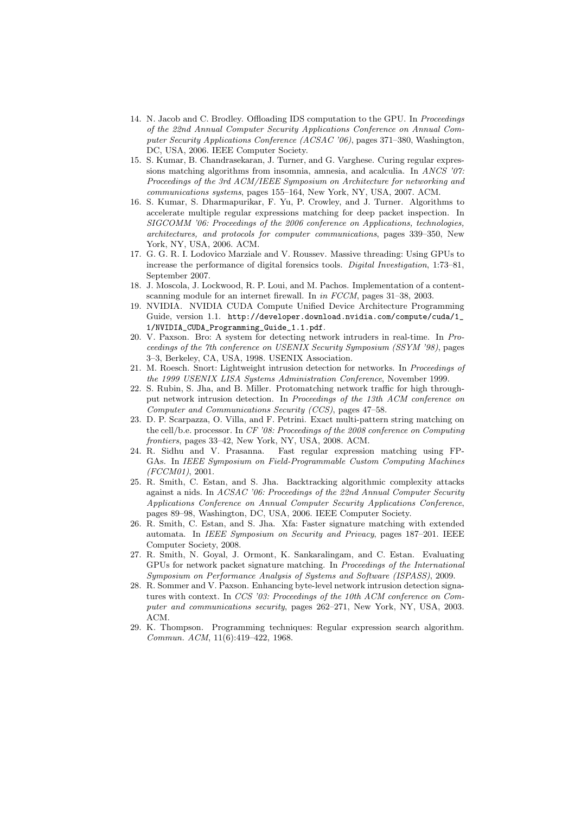- 14. N. Jacob and C. Brodley. Offloading IDS computation to the GPU. In Proceedings of the 22nd Annual Computer Security Applications Conference on Annual Computer Security Applications Conference (ACSAC '06), pages 371–380, Washington, DC, USA, 2006. IEEE Computer Society.
- 15. S. Kumar, B. Chandrasekaran, J. Turner, and G. Varghese. Curing regular expressions matching algorithms from insomnia, amnesia, and acalculia. In ANCS '07: Proceedings of the 3rd ACM/IEEE Symposium on Architecture for networking and communications systems, pages 155–164, New York, NY, USA, 2007. ACM.
- 16. S. Kumar, S. Dharmapurikar, F. Yu, P. Crowley, and J. Turner. Algorithms to accelerate multiple regular expressions matching for deep packet inspection. In SIGCOMM '06: Proceedings of the 2006 conference on Applications, technologies, architectures, and protocols for computer communications, pages 339–350, New York, NY, USA, 2006. ACM.
- 17. G. G. R. I. Lodovico Marziale and V. Roussev. Massive threading: Using GPUs to increase the performance of digital forensics tools. Digital Investigation, 1:73–81, September 2007.
- 18. J. Moscola, J. Lockwood, R. P. Loui, and M. Pachos. Implementation of a contentscanning module for an internet firewall. In *in FCCM*, pages 31–38, 2003.
- 19. NVIDIA. NVIDIA CUDA Compute Unified Device Architecture Programming Guide, version 1.1. http://developer.download.nvidia.com/compute/cuda/1\_ 1/NVIDIA\_CUDA\_Programming\_Guide\_1.1.pdf.
- 20. V. Paxson. Bro: A system for detecting network intruders in real-time. In Proceedings of the 7th conference on USENIX Security Symposium (SSYM '98), pages 3–3, Berkeley, CA, USA, 1998. USENIX Association.
- 21. M. Roesch. Snort: Lightweight intrusion detection for networks. In Proceedings of the 1999 USENIX LISA Systems Administration Conference, November 1999.
- 22. S. Rubin, S. Jha, and B. Miller. Protomatching network traffic for high throughput network intrusion detection. In Proceedings of the 13th ACM conference on Computer and Communications Security (CCS), pages 47–58.
- 23. D. P. Scarpazza, O. Villa, and F. Petrini. Exact multi-pattern string matching on the cell/b.e. processor. In CF '08: Proceedings of the 2008 conference on Computing frontiers, pages 33–42, New York, NY, USA, 2008. ACM.
- Fast regular expression matching using FP-GAs. In IEEE Symposium on Field-Programmable Custom Computing Machines (FCCM01), 2001.
- 25. R. Smith, C. Estan, and S. Jha. Backtracking algorithmic complexity attacks against a nids. In ACSAC '06: Proceedings of the 22nd Annual Computer Security Applications Conference on Annual Computer Security Applications Conference, pages 89–98, Washington, DC, USA, 2006. IEEE Computer Society.
- 26. R. Smith, C. Estan, and S. Jha. Xfa: Faster signature matching with extended automata. In IEEE Symposium on Security and Privacy, pages 187–201. IEEE Computer Society, 2008.
- 27. R. Smith, N. Goyal, J. Ormont, K. Sankaralingam, and C. Estan. Evaluating GPUs for network packet signature matching. In Proceedings of the International Symposium on Performance Analysis of Systems and Software (ISPASS), 2009.
- 28. R. Sommer and V. Paxson. Enhancing byte-level network intrusion detection signatures with context. In CCS '03: Proceedings of the 10th ACM conference on Computer and communications security, pages 262–271, New York, NY, USA, 2003. ACM.
- 29. K. Thompson. Programming techniques: Regular expression search algorithm. Commun. ACM, 11(6):419–422, 1968.